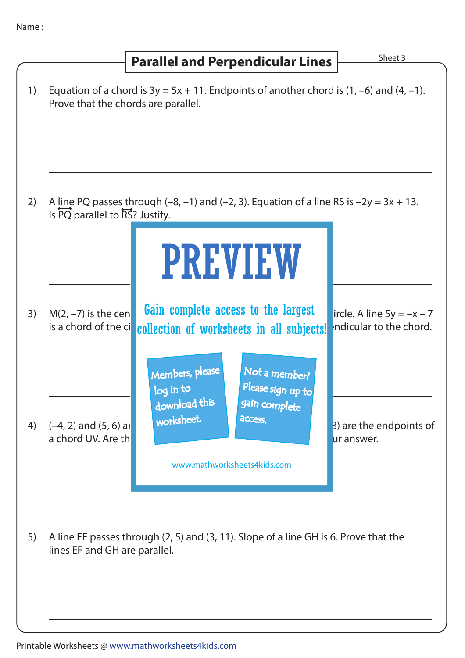|    | <b>Parallel and Perpendicular Lines</b>                                                                                                                                                                                 | Sheet 3                                               |
|----|-------------------------------------------------------------------------------------------------------------------------------------------------------------------------------------------------------------------------|-------------------------------------------------------|
| 1) | Equation of a chord is $3y = 5x + 11$ . Endpoints of another chord is $(1, -6)$ and $(4, -1)$ .<br>Prove that the chords are parallel.                                                                                  |                                                       |
| 2) | A line PQ passes through $(-8, -1)$ and $(-2, 3)$ . Equation of a line RS is $-2y = 3x + 13$ .<br>Is PQ parallel to RS? Justify.<br><b>PREVIEW</b>                                                                      |                                                       |
| 3) | Gain complete access to the largest<br>$M(2, -7)$ is the cen<br>is a chord of the ci<br>collection of worksheets in all subjects!                                                                                       | ircle. A line $5y = -x - 7$<br>ndicular to the chord. |
| 4) | Members, please<br>Not a member?<br>Please sign up to<br>log in to<br>download this<br>gain complete<br>worksheet.<br><b>ACCESS.</b><br>$(-4, 2)$ and $(5, 6)$ and<br>a chord UV. Are th<br>www.mathworksheets4kids.com | 3) are the endpoints of<br>ur answer.                 |
| 5) | A line EF passes through (2, 5) and (3, 11). Slope of a line GH is 6. Prove that the<br>lines EF and GH are parallel.                                                                                                   |                                                       |